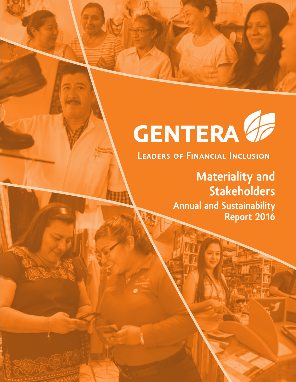# **CENTERA 47**

# **Materiality and Stakeholders**

**Annual and Sustainability Report 2016**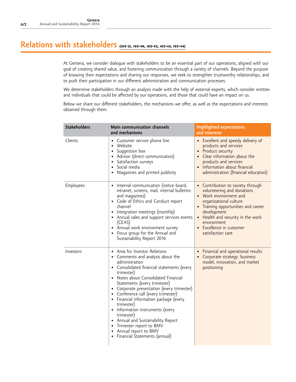#### **Relations with stakeholders (102-21, 102-40, 102-42, 102-43, 102-44)**

At Gentera, we consider dialogue with stakeholders to be an essential part of our operations; aligned with our goal of creating shared value, and fostering communication through a variety of channels. Beyond the purpose of knowing their expectations and sharing our responses, we seek to strengthen trustworthy relationships, and to push their participation in our different administration and communication processes.

We determine stakeholders through an analysis made with the help of external experts, which consider entities and individuals that could be affected by our operations, and those that could have an impact on us.

Below we share our different stakeholders, the mechanisms we offer, as well as the expectations and interests obtained through them.

| <b>Stakeholders</b> | Main communication channels<br>and mechanisms                                                                                                                                                                                                                                                                                                                                                                                                                                                                                                       | <b>Highlighted expectations</b><br>and interests                                                                                                                                                                                                                                          |
|---------------------|-----------------------------------------------------------------------------------------------------------------------------------------------------------------------------------------------------------------------------------------------------------------------------------------------------------------------------------------------------------------------------------------------------------------------------------------------------------------------------------------------------------------------------------------------------|-------------------------------------------------------------------------------------------------------------------------------------------------------------------------------------------------------------------------------------------------------------------------------------------|
| Clients             | Customer service phone line<br>Website<br>Suggestion box<br>• Advisor (direct communication)<br>Satisfaction surveys<br>• Social media<br>Magazines and printed publicity                                                                                                                                                                                                                                                                                                                                                                           | Excellent and speedy delivery of<br>products and services<br>• Product security<br>• Clear information about the<br>products and services<br>• Information about financial<br>administration (financial education)                                                                        |
| Employees           | Internal communication (notice board,<br>intranet, screens, mail, internal bulletins<br>and magazines)<br>• Code of Ethics and Conduct report<br>channel<br>Integration meetings (monthly)<br>• Annual sales and support services events<br>(CEAS)<br>• Annual work environment survey<br>• Focus group for the Annual and<br>Sustainability Report 2016                                                                                                                                                                                            | • Contribution to society through<br>volunteering and donations<br>• Work environment and<br>organizational culture<br>• Training opportunities and career<br>development<br>Health and security in the work<br>$\bullet$<br>environment<br>• Excellence in customer<br>satisfaction care |
| Investors           | • Area for Investor Relations<br>• Comments and analysis about the<br>administration<br>• Consolidated financial statements (every<br>trimester)<br>Notes about Consolidated Financial<br>Statements (every trimester)<br>Corporate presentation (every trimester)<br>• Conference call (every trimester)<br>• Financial information package (every<br>trimester)<br>• Information instruments (every<br>trimester)<br>• Annual and Sustainability Report<br>• Trimester report to BMV<br>• Annual report to BMV<br>• Financial Statements (annual) | Financial and operational results<br>Corporate strategy: business<br>model, innovation, and market<br>positioning                                                                                                                                                                         |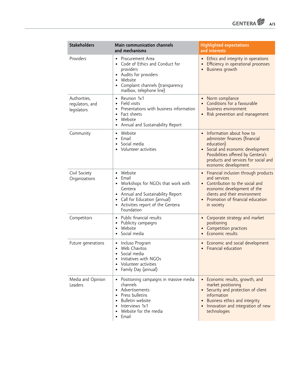

| <b>Stakeholders</b>                            | Main communication channels<br>and mechanisms                                                                                                                                                                                       | <b>Highlighted expectations</b><br>and interests                                                                                                                                                                               |
|------------------------------------------------|-------------------------------------------------------------------------------------------------------------------------------------------------------------------------------------------------------------------------------------|--------------------------------------------------------------------------------------------------------------------------------------------------------------------------------------------------------------------------------|
| Providers                                      | Procurement Area<br>$\bullet$<br>Code of Ethics and Conduct for<br>$\bullet$<br>providers<br>Audits for providers<br>$\bullet$<br>Website<br>$\bullet$<br>Complaint channels (transparency<br>$\bullet$<br>mailbox, telephone line) | • Ethics and integrity in operations<br>Efficiency in operational processes<br><b>Business growth</b>                                                                                                                          |
| Authorities,<br>regulators, and<br>legislators | Reunion 1x1<br>$\bullet$<br>Field visits<br>$\bullet$<br>Presentations with business information<br>٠<br>Fact sheets<br>$\bullet$<br>Website<br>$\bullet$<br>Annual and Sustainability Report                                       | Norm compliance<br>٠<br>Conditions for a favourable<br>business environment<br>Risk prevention and management                                                                                                                  |
| Community                                      | Website<br>$\bullet$<br>Email<br>٠<br>Social media<br>$\bullet$<br>Volunteer activities<br>$\bullet$                                                                                                                                | Information about how to<br>$\bullet$<br>administer finances (financial<br>education)<br>Social and economic development<br>Possibilities offered by Gentera's<br>products and services for social and<br>economic development |
| Civil Society<br>Organizations                 | Website<br>$\bullet$<br>Email<br>$\bullet$<br>Workshops for NGOs that work with<br>$\bullet$<br>Gentera<br>• Annual and Sustainability Report<br>Call for Education (annual)<br>• Activities report of the Gentera<br>Foundation    | • Financial inclusion through products<br>and services<br>• Contribution to the social and<br>economic development of the<br>clients and their environment<br>Promotion of financial education<br>in society                   |
| Competitors                                    | Public financial results<br>$\bullet$<br>Publicity campaigns<br>$\bullet$<br>Website<br>Social media                                                                                                                                | Corporate strategy and market<br>$\bullet$<br>positioning<br>Competition practices<br>Economic results                                                                                                                         |
| Future generations                             | Incluso Program<br>٠<br>Web Chavitos<br>Social media<br>٠<br>Initiatives with NGOs<br>Volunteer activities<br>Family Day (annual)                                                                                                   | Economic and social development<br>٠<br>Financial education                                                                                                                                                                    |
| Media and Opinion<br>Leaders                   | Positioning campaigns in massive media<br>$\bullet$<br>channels<br>Advertisements<br>$\bullet$<br>Press bulletins<br>$\bullet$<br>Bulletin website<br>Interviews 1x1<br>Website for the media<br>$\bullet$<br>Email                 | • Economic results, growth, and<br>market positioning<br>• Security and protection of client<br>information<br>Business ethics and integrity<br>$\bullet$<br>Innovation and integration of new<br>technologies                 |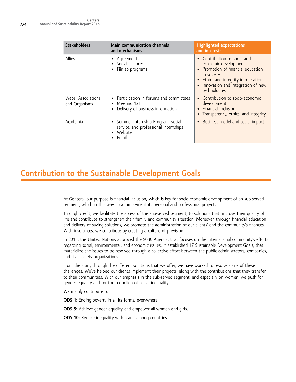| <b>Stakeholders</b>                  | Main communication channels<br>and mechanisms                                                    | <b>Highlighted expectations</b><br>and interests                                                                                                                                                |
|--------------------------------------|--------------------------------------------------------------------------------------------------|-------------------------------------------------------------------------------------------------------------------------------------------------------------------------------------------------|
| Allies                               | Agreements<br>• Social alliances<br>Fiinlab programs                                             | Contribution to social and<br>economic development<br>Promotion of financial education<br>in society<br>Ethics and integrity in operations<br>Innovation and integration of new<br>technologies |
| Webs, Associations,<br>and Organisms | Participation in forums and committees<br>Meeting 1x1<br>Delivery of business information        | • Contribution to socio-economic<br>development<br>Financial inclusion<br>Transparency, ethics, and integrity                                                                                   |
| Academia                             | • Summer Internship Program, social<br>service, and professional internships<br>Website<br>Email | Business model and social impact                                                                                                                                                                |

### **Contribution to the Sustainable Development Goals**

At Gentera, our purpose is financial inclusion, which is key for socio-economic development of an sub-served segment, which in this way it can implement its personal and professional projects.

Through credit, we facilitate the access of the sub-served segment, to solutions that improve their quality of life and contribute to strengthen their family and community situation. Moreover, through financial education and delivery of saving solutions, we promote the administration of our clients' and the community's finances. With insurances, we contribute by creating a culture of prevision.

In 2015, the United Nations approved the 2030 Agenda, that focuses on the international community's efforts regarding social, environmental, and economic issues. It established 17 Sustainable Development Goals, that materialize the issues to be resolved through a collective effort between the public administrators, companies, and civil society organizations.

From the start, through the different solutions that we offer, we have worked to resolve some of these challenges. We've helped our clients implement their projects, along with the contributions that they transfer to their communities. With our emphasis in the sub-served segment, and especially on women, we push for gender equality and for the reduction of social inequality.

We mainly contribute to:

- **ODS 1:** Ending poverty in all its forms, everywhere.
- **ODS 5:** Achieve gender equality and empower all women and girls.
- **ODS 10:** Reduce inequality within and among countries.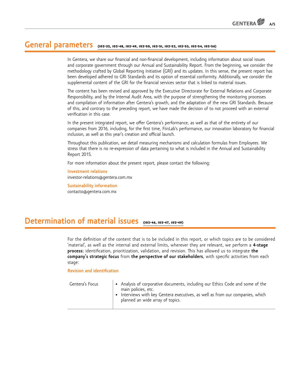#### **General parameters (102-32, 102-48, 102-49, 102-50, 102-51, 102-52, 102-53, 102-54, 102-56)**

In Gentera, we share our financial and non-financial development, including information about social issues and corporate government through our Annual and Sustainability Report. From the beginning, we consider the methodology crafted by Global Reporting Initiative (GRI) and its updates. In this sense, the present report has been developed adhered to GRI Standards and its option of essential conformity. Additionally, we consider the supplemental content of the GRI for the financial services sector that is linked to material issues.

The content has been revised and approved by the Executive Directorate for External Relations and Corporate Responsibility, and by the Internal Audit Area, with the purpose of strengthening the monitoring processes and compilation of information after Gentera's growth, and the adaptation of the new GRI Standards. Because of this, and contrary to the preceding report, we have made the decision of to not proceed with an external verification in this case.

In the present integrated report, we offer Gentera's performance, as well as that of the entirety of our companies from 2016, including, for the first time, FiinLab's performance, our innovation laboratory for financial inclusion, as well as this year's creation and official launch.

Throughout this publication, we detail measuring mechanisms and calculation formulas from Employees. We stress that there is no re-expression of data pertaining to what is included in the Annual and Sustainability Report 2015.

For more information about the present report, please contact the following:

**Investment relations** investor-relations@gentera.com.mx

**Sustainability information** contacto@gentera.com.mx

#### **Determination of material issues (102-46, 102-47, 102-49)**

For the definition of the content that is to be included in this report, or which topics are to be considered 'material', as well as the internal and external limits, wherever they are relevant, we perform a **4-stage process:** identification, prioritization, validation, and revision. This has allowed us to integrate **the company's strategic focus** from **the perspective of our stakeholders**, with specific activities from each stage:

#### **Revision and identification**

| Gentera's Focus | • Analysis of corporative documents, including our Ethics Code and some of the<br>main policies, etc.<br>Interviews with key Gentera executives, as well as from our companies, which<br>$\bullet$<br>planned an wide array of topics. |
|-----------------|----------------------------------------------------------------------------------------------------------------------------------------------------------------------------------------------------------------------------------------|
|-----------------|----------------------------------------------------------------------------------------------------------------------------------------------------------------------------------------------------------------------------------------|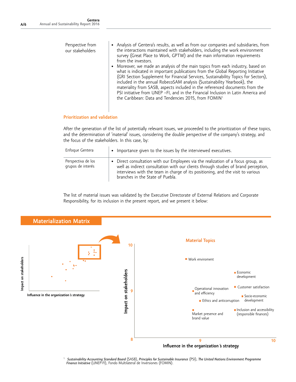| Perspective from<br>our stakeholders | • Analysis of Gentera's results, as well as from our companies and subsidiaries, from<br>the interactions maintained with stakeholders, including the work environment<br>survey (Great Place to Work, GPTW) and the main information requirements<br>from the investors.                                                                                                                                                                                                                                                                                                      |
|--------------------------------------|--------------------------------------------------------------------------------------------------------------------------------------------------------------------------------------------------------------------------------------------------------------------------------------------------------------------------------------------------------------------------------------------------------------------------------------------------------------------------------------------------------------------------------------------------------------------------------|
|                                      | Moreover, we made an analysis of the main topics from each industry, based on<br>what is indicated in important publications from the Global Reporting Initiative<br>(GRI Section Supplement for Financial Services, Sustainability Topics for Sectors),<br>included in the annual RobecoSAM analysis (Sustainability Yearbook), the<br>materiality from SASB, aspects included in the referenced documents from the<br>PSI initiative from UNEP -FI, and in the Financial Inclusion in Latin America and<br>the Caribbean: Data and Tendencies 2015, from FOMIN <sup>1.</sup> |

#### **Prioritization and validation**

After the generation of the list of potentially relevant issues, we proceeded to the prioritization of these topics, and the determination of 'material' issues, considering the double perspective of the company's strategy, and the focus of the stakeholders. In this case, by:

| Enfoque Gentera                         | • Importance given to the issues by the interviewed executives.                                                                                                                                                                                                                                 |
|-----------------------------------------|-------------------------------------------------------------------------------------------------------------------------------------------------------------------------------------------------------------------------------------------------------------------------------------------------|
| Perspectiva de los<br>grupos de interés | • Direct consultation with our Employees via the realization of a focus group, as<br>well as indirect consultation with our clients through studies of brand perception,<br>interviews with the team in charge of its positioning, and the visit to various<br>branches in the State of Puebla. |

The list of material issues was validated by the Executive Directorate of External Relations and Corporate Responsibility, for its inclusion in the present report, and we present it below:



1 *Sustainability Accounting Standard Board* (SASB), *Principles for Sustainable Insurance* (PSI), *The United Nations Environment Programme Finance Initiative* (UNEP-FI), Fondo Multilateral de Inversiones (FOMIN).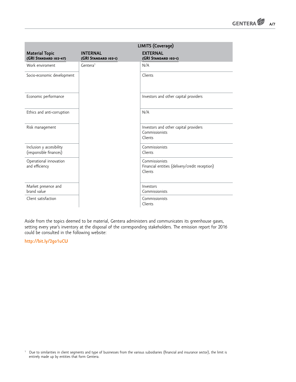|                                                    | LIMITS (Coverage)                       |                                                                             |  |
|----------------------------------------------------|-----------------------------------------|-----------------------------------------------------------------------------|--|
| <b>Material Topic</b><br>(GRI STANDARD 102-47)     | <b>INTERNAL</b><br>(GRI STANDARD 103-1) | <b>EXTERNAL</b><br>(GRI STANDARD 103-1)                                     |  |
| Work enviroment                                    | Gentera <sup>1</sup>                    | N/A                                                                         |  |
| Socio-economic development                         |                                         | Clients                                                                     |  |
| Economic performance                               |                                         | Investors and other capital providers                                       |  |
| Ethics and anti-corruption                         |                                         | N/A                                                                         |  |
| Risk management                                    |                                         | Investors and other capital providers<br>Commissionists<br>Clients          |  |
| Inclusion y accesibility<br>(responsible finances) |                                         | Commissionists<br>Clients                                                   |  |
| Operational innovation<br>and efficiency           |                                         | Commissionists<br>Financial entities (delivery/credit reception)<br>Clients |  |
| Market presence and<br>brand value                 |                                         | Investors<br>Commissionists                                                 |  |
| Client satisfaction                                |                                         | Commissionists<br>Clients                                                   |  |

Aside from the topics deemed to be material, Gentera administers and communicates its greenhouse gases, setting every year's inventory at the disposal of the corresponding stakeholders. The emission report for 2016 could be consulted in the following website:

**http://bit.ly/2go1uCU**

1 Due to similarities in client segments and type of businesses from the various subsidiaries (financial and insurance sector), the limit is entirely made up by entities that form Gentera.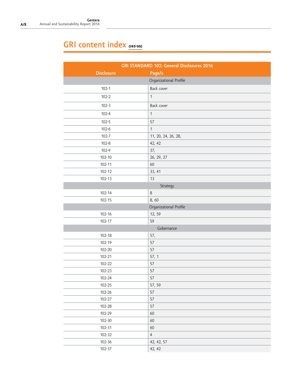## GRI content index **(102-55)**

| GRI STANDARD 102: General Disclosures 2016 |                        |  |
|--------------------------------------------|------------------------|--|
| <b>Disclosure</b>                          | Page/s                 |  |
|                                            | Organizational Profile |  |
| $102 - 1$                                  | Back cover             |  |
| $102 - 2$                                  | $\mathbf{1}$           |  |
| $102 - 3$                                  | Back cover             |  |
| $102 - 4$                                  | $\mathbf{1}$           |  |
| $102 - 5$                                  | 57                     |  |
| $102 - 6$                                  | $\mathbf{1}$           |  |
| $102 - 7$                                  | 11, 20, 24, 26, 28,    |  |
| $102 - 8$                                  | 42, 42                 |  |
| 102-9                                      | 37,                    |  |
| $102 - 10$                                 | 26, 29, 27             |  |
| $102 - 11$                                 | 60                     |  |
| 102-12                                     | 33, 41                 |  |
| $102 - 13$                                 | 13                     |  |
|                                            | Strategy               |  |
| $102 - 14$                                 | $\,8\,$                |  |
| $102 - 15$                                 | 8,60                   |  |
|                                            | Organizational Profile |  |
| $102 - 16$                                 | 12, 59                 |  |
| $102 - 17$                                 | 59                     |  |
|                                            | Gobernance             |  |
| $102 - 18$                                 | 57,                    |  |
| 102-19                                     | 57                     |  |
| 102-20                                     | 57                     |  |
| 102-21                                     | 57, 1                  |  |
| 102-22                                     | 57                     |  |
| 102-23                                     | 57                     |  |
| 102-24                                     | 57                     |  |
| 102-25                                     | 57, 59                 |  |
| 102-26                                     | 57                     |  |
| 102-27                                     | 57                     |  |
| 102-28                                     | 57                     |  |
| 102-29                                     | 60                     |  |
| $102 - 30$                                 | 60                     |  |
| 102-31                                     | 60                     |  |
| 102-32                                     | $\overline{4}$         |  |
| $102 - 36$                                 | 42, 42, 57             |  |
| 102-37                                     | 42, 42                 |  |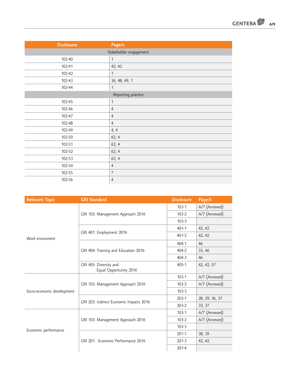| <b>GENTERA</b> | A/9 |
|----------------|-----|
|----------------|-----|

| <b>Disclosure</b> | Page/s                 |
|-------------------|------------------------|
|                   | Stakeholder engagement |
| 102-40            | $\mathbf{1}$           |
| 102-41            | 42, 42                 |
| 102-42            | $\mathbf{1}$           |
| 102-43            | 36, 48, 49, 1          |
| 102-44            | 1                      |
|                   | Reporting practice     |
| 102-45            | $\mathbf{1}$           |
| 102-46            | $\overline{4}$         |
| 102-47            | $\overline{4}$         |
| 102-48            | $\overline{4}$         |
| 102-49            | 4, 4                   |
| 102-50            | 62, 4                  |
| 102-51            | 62, 4                  |
| 102-52            | 62, 4                  |
| 102-53            | 62, 4                  |
| 102-54            | $\overline{4}$         |
| 102-55            | $\overline{7}$         |
| 102-56            | $\overline{4}$         |

| <b>Relevant Topic</b>      | <b>GRI Standard</b>                              | <b>Disclosure</b> | Page/s         |
|----------------------------|--------------------------------------------------|-------------------|----------------|
|                            | GRI 103: Management Approach 2016                | $103 - 1$         | A/7 (Annexed)  |
|                            |                                                  | $103-2$           | A/7 (Annexed)  |
|                            |                                                  | $103 - 3$         |                |
|                            |                                                  | $401 - 1$         | 42, 42         |
| Work enviroment            | GRI 401: Employment 2016                         | $401 - 2$         | 42, 42         |
|                            |                                                  | $404 - 1$         | 46             |
|                            | GRI 404: Training and Education 2016             | $404 - 2$         | 33, 46         |
|                            |                                                  | $404 - 3$         | 46             |
|                            | GRI 405: Diversity and<br>Equal Opportunity 2016 | $405 - 1$         | 42, 42, 57     |
|                            | GRI 103: Management Approach 2016                | $103 - 1$         | A/7 (Annexed)  |
|                            |                                                  | $103-2$           | A/7 (Annexed)  |
| Socio-economic development |                                                  | $103 - 3$         |                |
|                            |                                                  | $203-1$           | 28, 29, 36, 37 |
|                            | GRI 203: Indirect Economic Impacts 2016          | $203 - 2$         | 33, 37         |
|                            |                                                  | $103 - 1$         | A/7 (Annexed)  |
|                            | GRI 103: Management Approach 2016                | $103-2$           | A/7 (Annexed)  |
|                            |                                                  | $103 - 3$         |                |
| Economic performance       |                                                  | $201-1$           | 38, 39         |
|                            | GRI 201: Economic Performance 2016               | $201 - 3$         | 42, 42         |
|                            |                                                  | $201 - 4$         |                |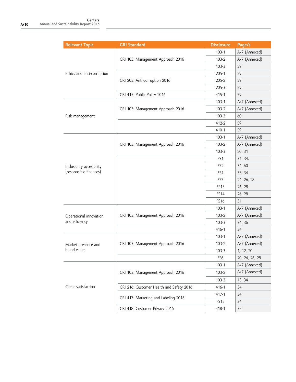| <b>Relevant Topic</b>      | <b>GRI Standard</b>                      | <b>Disclosure</b> | Page/s         |
|----------------------------|------------------------------------------|-------------------|----------------|
|                            | GRI 103: Management Approach 2016        | $103 - 1$         | A/7 (Annexed)  |
|                            |                                          | $103-2$           | A/7 (Annexed)  |
|                            |                                          | $103-3$           | 59             |
| Ethics and anti-corruption |                                          | $205 - 1$         | 59             |
|                            | GRI 205: Anti-corruption 2016            | 205-2             | 59             |
|                            |                                          | $205 - 3$         | 59             |
|                            | GRI 415: Public Policy 2016              | $415 - 1$         | 59             |
|                            |                                          | $103 - 1$         | A/7 (Annexed)  |
|                            | GRI 103: Management Approach 2016        | $103-2$           | A/7 (Annexed)  |
| Risk management            |                                          | $103 - 3$         | 60             |
|                            |                                          | 412-2             | 59             |
|                            |                                          | $410 - 1$         | 59             |
|                            |                                          | $103-1$           | A/7 (Annexed)  |
|                            | GRI 103: Management Approach 2016        | $103-2$           | A/7 (Annexed)  |
|                            |                                          | $103-3$           | 20, 31         |
|                            |                                          | FS <sub>1</sub>   | 31, 34,        |
| Inclusion y accesibility   |                                          | FS <sub>2</sub>   | 34,60          |
| (responsible finances)     |                                          | FS4               | 33, 34         |
|                            |                                          | FS7               | 24, 26, 28     |
|                            |                                          | <b>FS13</b>       | 26, 28         |
|                            |                                          | <b>FS14</b>       | 26, 28         |
|                            |                                          | FS16              | 31             |
|                            | GRI 103: Management Approach 2016        | $103 - 1$         | A/7 (Annexed)  |
| Operational innovation     |                                          | $103-2$           | A/7 (Annexed)  |
| and efficiency             |                                          | $103 - 3$         | 34, 36         |
|                            |                                          | $416 - 1$         | 34             |
|                            |                                          | $103-1$           | A/7 (Annexed)  |
| Market presence and        | GRI 103: Management Approach 2016        | $103-2$           | A/7 (Annexed)  |
| brand value                |                                          | $103 - 3$         | 1, 12, 20      |
|                            |                                          | FS6               | 20, 24, 26, 28 |
|                            |                                          | $103 - 1$         | A/7 (Annexed)  |
|                            | GRI 103: Management Approach 2016        | $103-2$           | A/7 (Annexed)  |
|                            |                                          | $103-3$           | 13, 34         |
| Client satisfaction        | GRI 216: Customer Health and Safety 2016 | $416 - 1$         | 34             |
|                            | GRI 417: Marketing and Labeling 2016     | $417 - 1$         | 34             |
|                            |                                          | FS <sub>15</sub>  | 34             |
|                            | GRI 418: Customer Privacy 2016           | 418-1             | 35             |